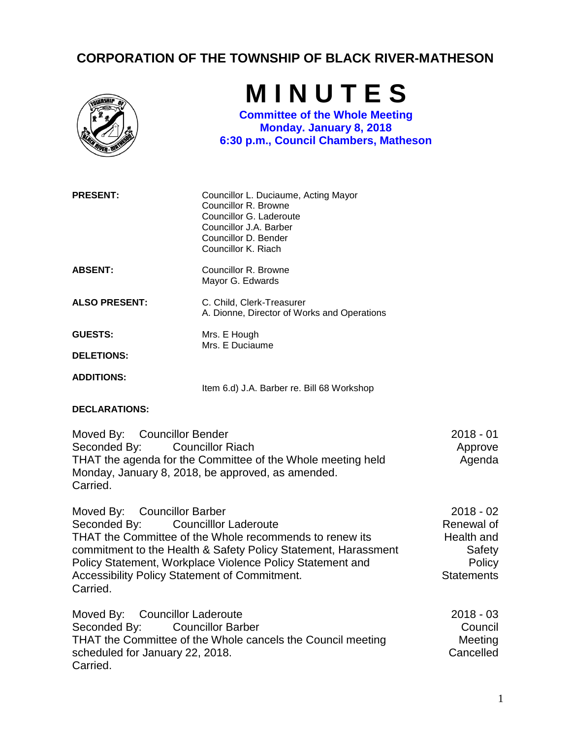## **CORPORATION OF THE TOWNSHIP OF BLACK RIVER-MATHESON**



**M I N U T E S**

**Committee of the Whole Meeting Monday. January 8, 2018 6:30 p.m., Council Chambers, Matheson**

| <b>PRESENT:</b>                                                                                                                                                                                        | Councillor L. Duciaume, Acting Mayor<br>Councillor R. Browne<br>Councillor G. Laderoute<br>Councillor J.A. Barber<br>Councillor D. Bender<br>Councillor K. Riach                                                       |                                                                                  |
|--------------------------------------------------------------------------------------------------------------------------------------------------------------------------------------------------------|------------------------------------------------------------------------------------------------------------------------------------------------------------------------------------------------------------------------|----------------------------------------------------------------------------------|
| <b>ABSENT:</b>                                                                                                                                                                                         | Councillor R. Browne<br>Mayor G. Edwards                                                                                                                                                                               |                                                                                  |
| <b>ALSO PRESENT:</b>                                                                                                                                                                                   | C. Child, Clerk-Treasurer<br>A. Dionne, Director of Works and Operations                                                                                                                                               |                                                                                  |
| <b>GUESTS:</b>                                                                                                                                                                                         | Mrs. E Hough<br>Mrs. E Duciaume                                                                                                                                                                                        |                                                                                  |
| <b>DELETIONS:</b>                                                                                                                                                                                      |                                                                                                                                                                                                                        |                                                                                  |
| <b>ADDITIONS:</b>                                                                                                                                                                                      | Item 6.d) J.A. Barber re. Bill 68 Workshop                                                                                                                                                                             |                                                                                  |
| <b>DECLARATIONS:</b>                                                                                                                                                                                   |                                                                                                                                                                                                                        |                                                                                  |
| Moved By: Councillor Bender<br>Seconded By:<br><b>Councillor Riach</b><br>THAT the agenda for the Committee of the Whole meeting held<br>Monday, January 8, 2018, be approved, as amended.<br>Carried. |                                                                                                                                                                                                                        | $2018 - 01$<br>Approve<br>Agenda                                                 |
| Moved By: Councillor Barber<br>Seconded By:<br>Accessibility Policy Statement of Commitment.<br>Carried.                                                                                               | <b>Councilllor Laderoute</b><br>THAT the Committee of the Whole recommends to renew its<br>commitment to the Health & Safety Policy Statement, Harassment<br>Policy Statement, Workplace Violence Policy Statement and | $2018 - 02$<br>Renewal of<br>Health and<br>Safety<br>Policy<br><b>Statements</b> |

| Moved By: Councillor Laderoute                              | 2018 - 03 |
|-------------------------------------------------------------|-----------|
| Seconded By: Councillor Barber                              | Council   |
| THAT the Committee of the Whole cancels the Council meeting | Meeting   |
| scheduled for January 22, 2018.                             | Cancelled |
| Carried.                                                    |           |